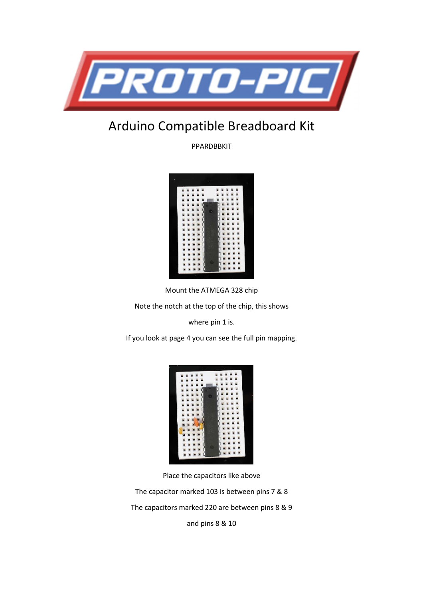

# Arduino Compatible Breadboard Kit

PPARDBBKIT



Mount the ATMEGA 328 chip

Note the notch at the top of the chip, this shows

where pin 1 is.

If you look at page 4 you can see the full pin mapping.

| u |                 |   |   | E               |               |                    | 医阿斯特氏试验检阿斯特氏试验检阿斯特氏试验检 |  |
|---|-----------------|---|---|-----------------|---------------|--------------------|------------------------|--|
|   |                 | Ë |   |                 | ü             |                    |                        |  |
|   |                 |   |   |                 | ü             |                    |                        |  |
|   |                 |   |   |                 |               |                    |                        |  |
|   |                 |   |   |                 |               |                    |                        |  |
|   |                 |   |   |                 |               |                    |                        |  |
|   | E               |   |   |                 |               |                    |                        |  |
|   | ×               |   |   |                 |               |                    |                        |  |
|   | THE R. P. LEWIS |   |   | 医阿里斯氏试验检尿病 医阿里氏 | 医血液反应反应 医耳耳耳耳 | 医反应性贫血 医发热性贫血病 医耳聋 |                        |  |
|   |                 |   |   |                 |               |                    |                        |  |
|   |                 |   |   |                 |               |                    |                        |  |
|   |                 |   |   |                 |               |                    |                        |  |
|   |                 |   |   |                 |               |                    |                        |  |
|   |                 |   |   |                 |               |                    |                        |  |
|   |                 |   | ŕ |                 |               |                    |                        |  |
|   |                 |   |   |                 |               |                    |                        |  |
|   |                 |   |   |                 |               |                    |                        |  |
|   |                 |   |   |                 |               |                    |                        |  |

Place the capacitors like above

The capacitor marked 103 is between pins 7 & 8

The capacitors marked 220 are between pins 8 & 9

and pins 8 & 10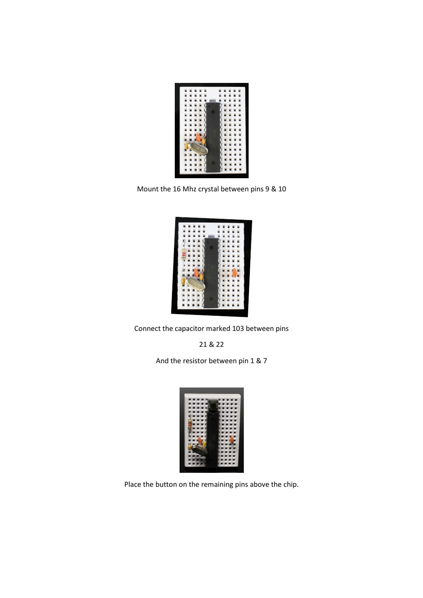

Mount the 16 Mhz crystal between pins 9 & 10

| ь                               |                                                                       |
|---------------------------------|-----------------------------------------------------------------------|
| Ľ                               | u                                                                     |
| L                               | E                                                                     |
| ×                               | u<br>ü                                                                |
| ù                               | ü<br>ä                                                                |
| <b>NEW PROPERTY AND IN</b><br>. | ú<br>u                                                                |
| $\overline{a}$                  | $\overline{u}$                                                        |
| è                               |                                                                       |
| トートリー<br>i                      |                                                                       |
|                                 | $\overline{a}$<br>u                                                   |
| i<br>ij                         | E                                                                     |
|                                 | 医血管周膜炎 医血管 医皮肤性<br>医血压反应 医血管性发育性贫血<br><b>FOR STREET CONTROLS</b><br>u |
|                                 | .<br>š                                                                |
|                                 |                                                                       |
| i.                              | D<br>٦                                                                |
|                                 |                                                                       |
|                                 |                                                                       |
|                                 |                                                                       |
|                                 |                                                                       |

Connect the capacitor marked 103 between pins

21 & 22

And the resistor between pin 1 & 7



Place the button on the remaining pins above the chip.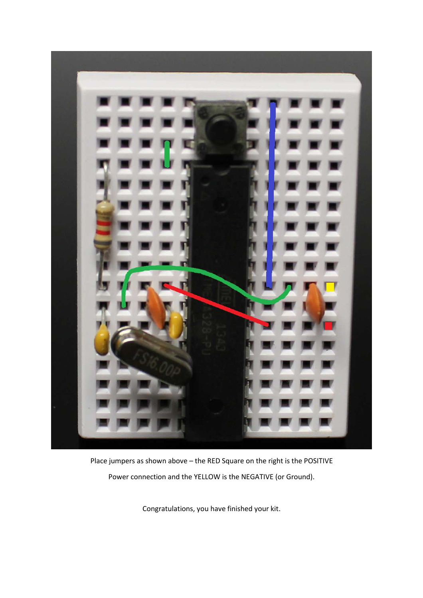

Place jumpers as shown above – the RED Square on the right is the POSITIVE Power connection and the YELLOW is the NEGATIVE (or Ground).

Congratulations, you have finished your kit.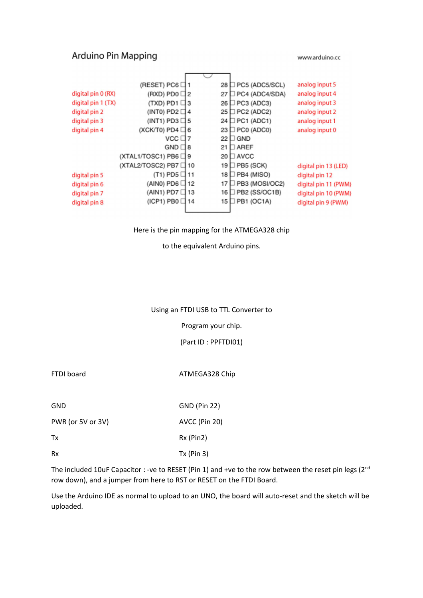## Arduino Pin Mapping

www.arduino.cc



### Here is the pin mapping for the ATMEGA328 chip

to the equivalent Arduino pins.

#### Using an FTDI USB to TTL Converter to

Program your chip.

(Part ID : PPFTDI01)

FTDI board **ATMEGA328** Chip

| <b>GND</b> |         | <b>GND (Pin 22)</b>    |
|------------|---------|------------------------|
| ------     | $- - -$ | $-1$<br>. . <i>. .</i> |

PWR (or 5V or 3V) AVCC (Pin 20)

Tx Rx (Pin2)

Rx Tx (Pin 3)

The included 10uF Capacitor : -ve to RESET (Pin 1) and +ve to the row between the reset pin legs ( $2^{nd}$ row down), and a jumper from here to RST or RESET on the FTDI Board.

Use the Arduino IDE as normal to upload to an UNO, the board will auto-reset and the sketch will be uploaded.